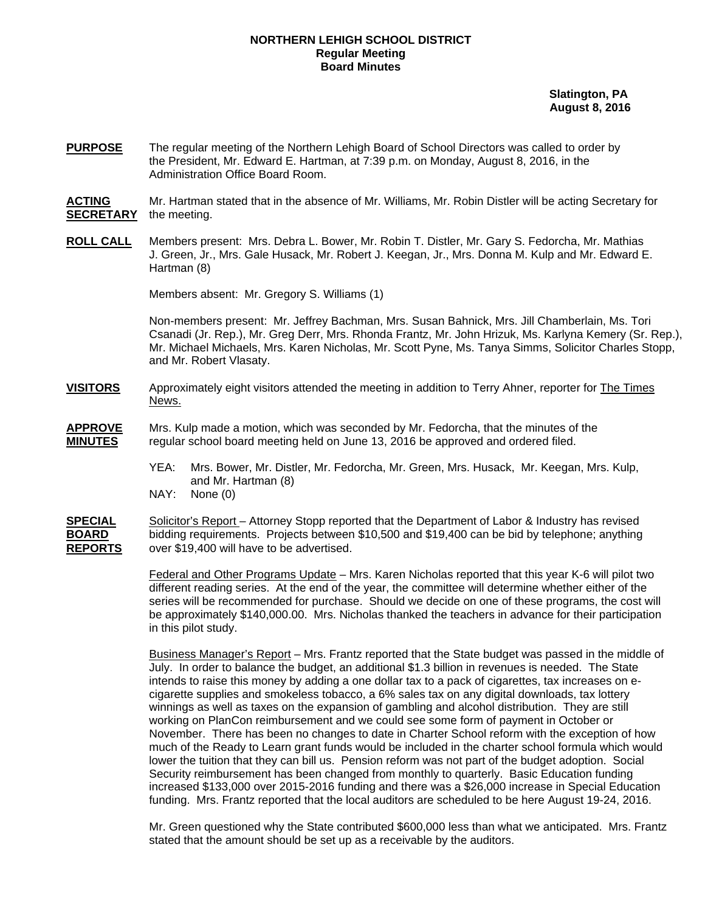## **NORTHERN LEHIGH SCHOOL DISTRICT Regular Meeting Board Minutes**

 **Slatington, PA August 8, 2016** 

**PURPOSE** The regular meeting of the Northern Lehigh Board of School Directors was called to order by the President, Mr. Edward E. Hartman, at 7:39 p.m. on Monday, August 8, 2016, in the Administration Office Board Room.

**ACTING** Mr. Hartman stated that in the absence of Mr. Williams, Mr. Robin Distler will be acting Secretary for **SECRETARY** the meeting.

**ROLL CALL** Members present: Mrs. Debra L. Bower, Mr. Robin T. Distler, Mr. Gary S. Fedorcha, Mr. Mathias J. Green, Jr., Mrs. Gale Husack, Mr. Robert J. Keegan, Jr., Mrs. Donna M. Kulp and Mr. Edward E. Hartman (8)

Members absent: Mr. Gregory S. Williams (1)

Non-members present: Mr. Jeffrey Bachman, Mrs. Susan Bahnick, Mrs. Jill Chamberlain, Ms. Tori Csanadi (Jr. Rep.), Mr. Greg Derr, Mrs. Rhonda Frantz, Mr. John Hrizuk, Ms. Karlyna Kemery (Sr. Rep.), Mr. Michael Michaels, Mrs. Karen Nicholas, Mr. Scott Pyne, Ms. Tanya Simms, Solicitor Charles Stopp, and Mr. Robert Vlasaty.

- **VISITORS** Approximately eight visitors attended the meeting in addition to Terry Ahner, reporter for The Times News.
- **APPROVE** Mrs. Kulp made a motion, which was seconded by Mr. Fedorcha, that the minutes of the **MINUTES** regular school board meeting held on June 13, 2016 be approved and ordered filed.
	- YEA: Mrs. Bower, Mr. Distler, Mr. Fedorcha, Mr. Green, Mrs. Husack, Mr. Keegan, Mrs. Kulp, and Mr. Hartman (8)
	- NAY: None (0)
- **SPECIAL** Solicitor's Report Attorney Stopp reported that the Department of Labor & Industry has revised **BOARD** bidding requirements. Projects between \$10,500 and \$19,400 can be bid by telephone; anything **REPORTS** over \$19,400 will have to be advertised.

 Federal and Other Programs Update – Mrs. Karen Nicholas reported that this year K-6 will pilot two different reading series. At the end of the year, the committee will determine whether either of the series will be recommended for purchase. Should we decide on one of these programs, the cost will be approximately \$140,000.00. Mrs. Nicholas thanked the teachers in advance for their participation in this pilot study.

 Business Manager's Report – Mrs. Frantz reported that the State budget was passed in the middle of July. In order to balance the budget, an additional \$1.3 billion in revenues is needed. The State intends to raise this money by adding a one dollar tax to a pack of cigarettes, tax increases on ecigarette supplies and smokeless tobacco, a 6% sales tax on any digital downloads, tax lottery winnings as well as taxes on the expansion of gambling and alcohol distribution. They are still working on PlanCon reimbursement and we could see some form of payment in October or November. There has been no changes to date in Charter School reform with the exception of how much of the Ready to Learn grant funds would be included in the charter school formula which would lower the tuition that they can bill us. Pension reform was not part of the budget adoption. Social Security reimbursement has been changed from monthly to quarterly. Basic Education funding increased \$133,000 over 2015-2016 funding and there was a \$26,000 increase in Special Education funding. Mrs. Frantz reported that the local auditors are scheduled to be here August 19-24, 2016.

 Mr. Green questioned why the State contributed \$600,000 less than what we anticipated. Mrs. Frantz stated that the amount should be set up as a receivable by the auditors.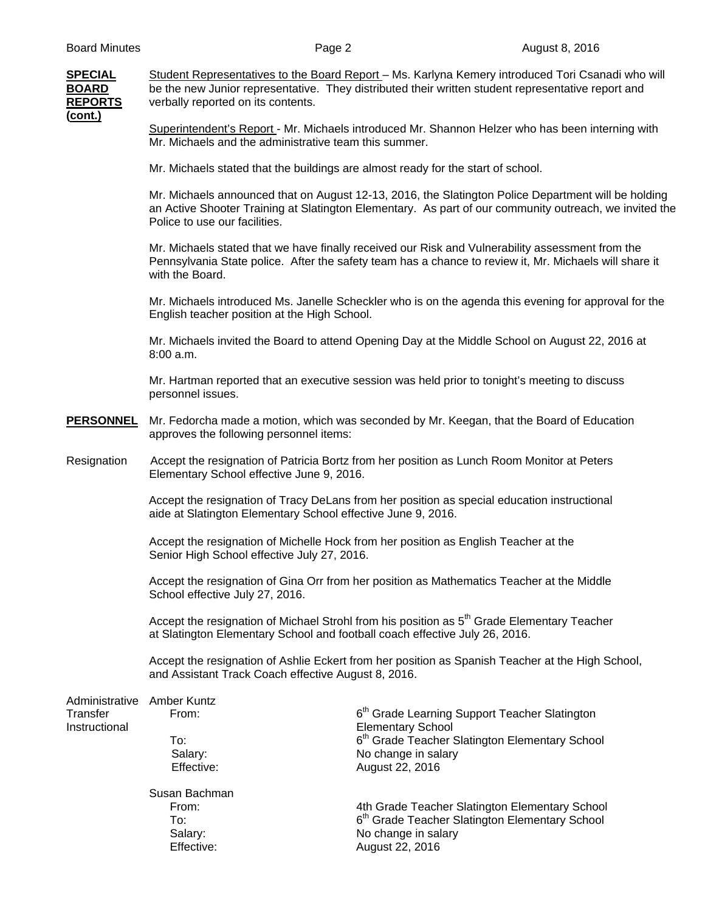**SPECIAL** Student Representatives to the Board Report – Ms. Karlyna Kemery introduced Tori Csanadi who will **BOARD** be the new Junior representative. They distributed their written student representative report and **REPORTS** verbally reported on its contents. **(cont.)**

> Superintendent's Report - Mr. Michaels introduced Mr. Shannon Helzer who has been interning with Mr. Michaels and the administrative team this summer.

Mr. Michaels stated that the buildings are almost ready for the start of school.

Mr. Michaels announced that on August 12-13, 2016, the Slatington Police Department will be holding an Active Shooter Training at Slatington Elementary. As part of our community outreach, we invited the Police to use our facilities.

Mr. Michaels stated that we have finally received our Risk and Vulnerability assessment from the Pennsylvania State police. After the safety team has a chance to review it, Mr. Michaels will share it with the Board.

Mr. Michaels introduced Ms. Janelle Scheckler who is on the agenda this evening for approval for the English teacher position at the High School.

Mr. Michaels invited the Board to attend Opening Day at the Middle School on August 22, 2016 at 8:00 a.m.

Mr. Hartman reported that an executive session was held prior to tonight's meeting to discuss personnel issues.

- **PERSONNEL** Mr. Fedorcha made a motion, which was seconded by Mr. Keegan, that the Board of Education approves the following personnel items:
- Resignation Accept the resignation of Patricia Bortz from her position as Lunch Room Monitor at Peters Elementary School effective June 9, 2016.

 Accept the resignation of Tracy DeLans from her position as special education instructional aide at Slatington Elementary School effective June 9, 2016.

Accept the resignation of Michelle Hock from her position as English Teacher at the Senior High School effective July 27, 2016.

Accept the resignation of Gina Orr from her position as Mathematics Teacher at the Middle School effective July 27, 2016.

Accept the resignation of Michael Strohl from his position as 5<sup>th</sup> Grade Elementary Teacher at Slatington Elementary School and football coach effective July 26, 2016.

 Accept the resignation of Ashlie Eckert from her position as Spanish Teacher at the High School, and Assistant Track Coach effective August 8, 2016.

| Administrative Amber Kuntz |               |                                                            |
|----------------------------|---------------|------------------------------------------------------------|
| Transfer                   | From:         | 6 <sup>th</sup> Grade Learning Support Teacher Slatington  |
| Instructional              |               | <b>Elementary School</b>                                   |
|                            | To:           | 6 <sup>th</sup> Grade Teacher Slatington Elementary School |
|                            | Salary:       | No change in salary                                        |
|                            | Effective:    | August 22, 2016                                            |
|                            | Susan Bachman |                                                            |
|                            | From:         | 4th Grade Teacher Slatington Elementary School             |
|                            | To:           | 6 <sup>th</sup> Grade Teacher Slatington Elementary School |
|                            | Salary:       | No change in salary                                        |
|                            | Effective:    | August 22, 2016                                            |
|                            |               |                                                            |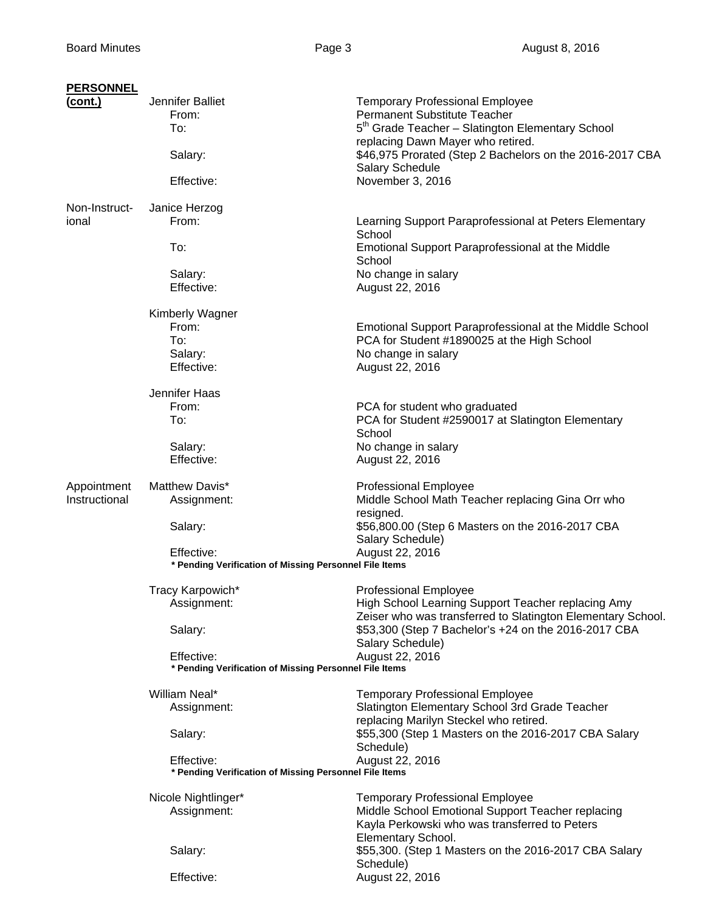| <b>PERSONNEL</b> |                                                                      |                                                                                                                                                                             |
|------------------|----------------------------------------------------------------------|-----------------------------------------------------------------------------------------------------------------------------------------------------------------------------|
| <u>(cont.)</u>   | Jennifer Balliet<br>From:<br>To:                                     | <b>Temporary Professional Employee</b><br>Permanent Substitute Teacher<br>5 <sup>th</sup> Grade Teacher - Slatington Elementary School<br>replacing Dawn Mayer who retired. |
|                  | Salary:                                                              | \$46,975 Prorated (Step 2 Bachelors on the 2016-2017 CBA<br><b>Salary Schedule</b>                                                                                          |
|                  | Effective:                                                           | November 3, 2016                                                                                                                                                            |
| Non-Instruct-    | Janice Herzog                                                        |                                                                                                                                                                             |
| ional            | From:                                                                | Learning Support Paraprofessional at Peters Elementary<br>School                                                                                                            |
|                  | To:                                                                  | Emotional Support Paraprofessional at the Middle<br>School                                                                                                                  |
|                  | Salary:<br>Effective:                                                | No change in salary<br>August 22, 2016                                                                                                                                      |
|                  | <b>Kimberly Wagner</b>                                               |                                                                                                                                                                             |
|                  | From:<br>To:<br>Salary:<br>Effective:                                | <b>Emotional Support Paraprofessional at the Middle School</b><br>PCA for Student #1890025 at the High School<br>No change in salary                                        |
|                  |                                                                      | August 22, 2016                                                                                                                                                             |
|                  | Jennifer Haas<br>From:<br>To:                                        | PCA for student who graduated<br>PCA for Student #2590017 at Slatington Elementary                                                                                          |
|                  | Salary:<br>Effective:                                                | School<br>No change in salary<br>August 22, 2016                                                                                                                            |
| Appointment      | Matthew Davis*                                                       | <b>Professional Employee</b>                                                                                                                                                |
| Instructional    | Assignment:                                                          | Middle School Math Teacher replacing Gina Orr who<br>resigned.                                                                                                              |
|                  | Salary:                                                              | \$56,800.00 (Step 6 Masters on the 2016-2017 CBA<br>Salary Schedule)                                                                                                        |
|                  | Effective:<br>* Pending Verification of Missing Personnel File Items | August 22, 2016                                                                                                                                                             |
|                  | Tracy Karpowich*<br>Assignment:                                      | <b>Professional Employee</b><br>High School Learning Support Teacher replacing Amy<br>Zeiser who was transferred to Slatington Elementary School.                           |
|                  | Salary:                                                              | \$53,300 (Step 7 Bachelor's +24 on the 2016-2017 CBA<br>Salary Schedule)                                                                                                    |
|                  | Effective:<br>* Pending Verification of Missing Personnel File Items | August 22, 2016                                                                                                                                                             |
|                  | William Neal*<br>Assignment:                                         | <b>Temporary Professional Employee</b><br>Slatington Elementary School 3rd Grade Teacher<br>replacing Marilyn Steckel who retired.                                          |
|                  | Salary:                                                              | \$55,300 (Step 1 Masters on the 2016-2017 CBA Salary<br>Schedule)                                                                                                           |
|                  | Effective:<br>* Pending Verification of Missing Personnel File Items | August 22, 2016                                                                                                                                                             |
|                  | Nicole Nightlinger*<br>Assignment:                                   | <b>Temporary Professional Employee</b><br>Middle School Emotional Support Teacher replacing<br>Kayla Perkowski who was transferred to Peters<br>Elementary School.          |
|                  | Salary:                                                              | \$55,300. (Step 1 Masters on the 2016-2017 CBA Salary<br>Schedule)                                                                                                          |
|                  | Effective:                                                           | August 22, 2016                                                                                                                                                             |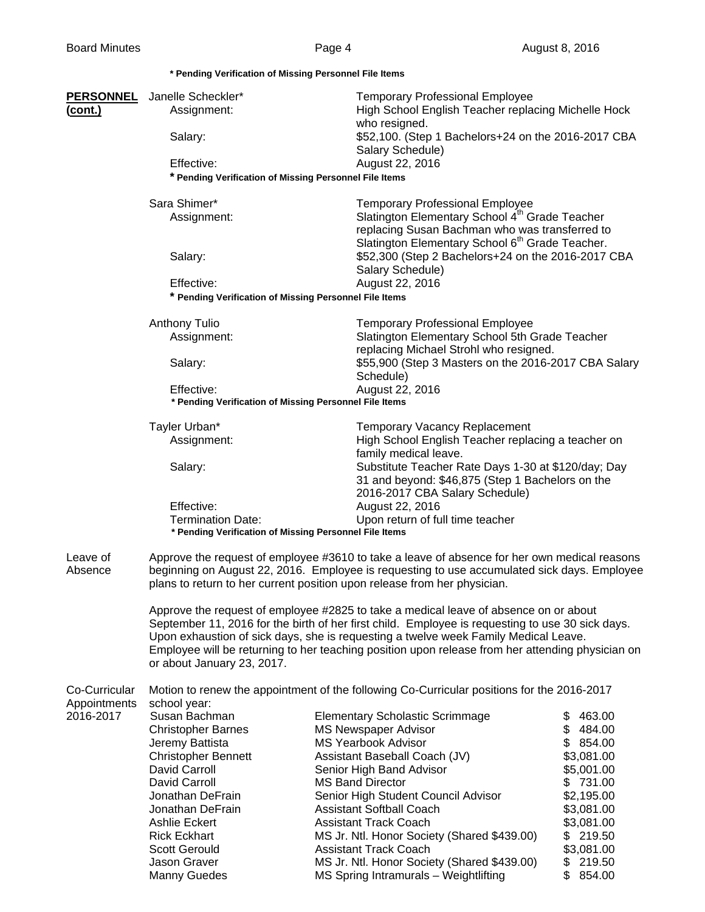|                     |                                                                                                                                                                                         | * Pending Verification of Missing Personnel File Items                                                                                                                                                                                                                  |                          |  |  |  |
|---------------------|-----------------------------------------------------------------------------------------------------------------------------------------------------------------------------------------|-------------------------------------------------------------------------------------------------------------------------------------------------------------------------------------------------------------------------------------------------------------------------|--------------------------|--|--|--|
| <b>PERSONNEL</b>    | Janelle Scheckler*                                                                                                                                                                      | <b>Temporary Professional Employee</b>                                                                                                                                                                                                                                  |                          |  |  |  |
| <u>(cont.)</u>      | Assignment:                                                                                                                                                                             | High School English Teacher replacing Michelle Hock<br>who resigned.                                                                                                                                                                                                    |                          |  |  |  |
|                     | Salary:                                                                                                                                                                                 | \$52,100. (Step 1 Bachelors+24 on the 2016-2017 CBA<br>Salary Schedule)                                                                                                                                                                                                 |                          |  |  |  |
|                     | Effective:                                                                                                                                                                              | August 22, 2016                                                                                                                                                                                                                                                         |                          |  |  |  |
|                     |                                                                                                                                                                                         | * Pending Verification of Missing Personnel File Items                                                                                                                                                                                                                  |                          |  |  |  |
|                     | Sara Shimer*                                                                                                                                                                            | <b>Temporary Professional Employee</b>                                                                                                                                                                                                                                  |                          |  |  |  |
|                     | Assignment:                                                                                                                                                                             | Slatington Elementary School 4 <sup>th</sup> Grade Teacher<br>replacing Susan Bachman who was transferred to<br>Slatington Elementary School 6 <sup>th</sup> Grade Teacher.                                                                                             |                          |  |  |  |
|                     | Salary:                                                                                                                                                                                 | \$52,300 (Step 2 Bachelors+24 on the 2016-2017 CBA<br>Salary Schedule)                                                                                                                                                                                                  |                          |  |  |  |
|                     | Effective:                                                                                                                                                                              | August 22, 2016                                                                                                                                                                                                                                                         |                          |  |  |  |
|                     |                                                                                                                                                                                         | * Pending Verification of Missing Personnel File Items                                                                                                                                                                                                                  |                          |  |  |  |
|                     | <b>Anthony Tulio</b>                                                                                                                                                                    | <b>Temporary Professional Employee</b>                                                                                                                                                                                                                                  |                          |  |  |  |
|                     | Assignment:                                                                                                                                                                             | Slatington Elementary School 5th Grade Teacher<br>replacing Michael Strohl who resigned.                                                                                                                                                                                |                          |  |  |  |
|                     | Salary:                                                                                                                                                                                 | \$55,900 (Step 3 Masters on the 2016-2017 CBA Salary                                                                                                                                                                                                                    |                          |  |  |  |
|                     |                                                                                                                                                                                         | Schedule)                                                                                                                                                                                                                                                               |                          |  |  |  |
|                     | Effective:                                                                                                                                                                              | August 22, 2016<br>* Pending Verification of Missing Personnel File Items                                                                                                                                                                                               |                          |  |  |  |
|                     |                                                                                                                                                                                         |                                                                                                                                                                                                                                                                         |                          |  |  |  |
|                     | Tayler Urban*<br>Assignment:                                                                                                                                                            | <b>Temporary Vacancy Replacement</b><br>High School English Teacher replacing a teacher on                                                                                                                                                                              |                          |  |  |  |
|                     |                                                                                                                                                                                         | family medical leave.                                                                                                                                                                                                                                                   |                          |  |  |  |
|                     | Salary:                                                                                                                                                                                 | Substitute Teacher Rate Days 1-30 at \$120/day; Day                                                                                                                                                                                                                     |                          |  |  |  |
|                     |                                                                                                                                                                                         | 31 and beyond: \$46,875 (Step 1 Bachelors on the                                                                                                                                                                                                                        |                          |  |  |  |
|                     | Effective:                                                                                                                                                                              | 2016-2017 CBA Salary Schedule)<br>August 22, 2016                                                                                                                                                                                                                       |                          |  |  |  |
|                     | <b>Termination Date:</b>                                                                                                                                                                | Upon return of full time teacher                                                                                                                                                                                                                                        |                          |  |  |  |
|                     |                                                                                                                                                                                         | * Pending Verification of Missing Personnel File Items                                                                                                                                                                                                                  |                          |  |  |  |
| Leave of<br>Absence |                                                                                                                                                                                         | Approve the request of employee #3610 to take a leave of absence for her own medical reasons<br>beginning on August 22, 2016. Employee is requesting to use accumulated sick days. Employee<br>plans to return to her current position upon release from her physician. |                          |  |  |  |
|                     |                                                                                                                                                                                         | Approve the request of employee #2825 to take a medical leave of absence on or about                                                                                                                                                                                    |                          |  |  |  |
|                     | September 11, 2016 for the birth of her first child. Employee is requesting to use 30 sick days.                                                                                        |                                                                                                                                                                                                                                                                         |                          |  |  |  |
|                     | Upon exhaustion of sick days, she is requesting a twelve week Family Medical Leave.<br>Employee will be returning to her teaching position upon release from her attending physician on |                                                                                                                                                                                                                                                                         |                          |  |  |  |
|                     | or about January 23, 2017.                                                                                                                                                              |                                                                                                                                                                                                                                                                         |                          |  |  |  |
| Co-Curricular       |                                                                                                                                                                                         | Motion to renew the appointment of the following Co-Curricular positions for the 2016-2017                                                                                                                                                                              |                          |  |  |  |
| Appointments        | school year:                                                                                                                                                                            |                                                                                                                                                                                                                                                                         |                          |  |  |  |
| 2016-2017           | Susan Bachman                                                                                                                                                                           | <b>Elementary Scholastic Scrimmage</b>                                                                                                                                                                                                                                  | 463.00<br>\$             |  |  |  |
|                     | <b>Christopher Barnes</b>                                                                                                                                                               | <b>MS Newspaper Advisor</b>                                                                                                                                                                                                                                             | \$484.00                 |  |  |  |
|                     | Jeremy Battista                                                                                                                                                                         | <b>MS Yearbook Advisor</b>                                                                                                                                                                                                                                              | \$854.00                 |  |  |  |
|                     | <b>Christopher Bennett</b><br>David Carroll                                                                                                                                             | Assistant Baseball Coach (JV)<br>Senior High Band Advisor                                                                                                                                                                                                               | \$3,081.00<br>\$5,001.00 |  |  |  |
|                     | David Carroll                                                                                                                                                                           | <b>MS Band Director</b>                                                                                                                                                                                                                                                 | \$731.00                 |  |  |  |
|                     | Jonathan DeFrain                                                                                                                                                                        | Senior High Student Council Advisor                                                                                                                                                                                                                                     | \$2,195.00               |  |  |  |
|                     | Jonathan DeFrain                                                                                                                                                                        | <b>Assistant Softball Coach</b>                                                                                                                                                                                                                                         | \$3,081.00               |  |  |  |
|                     | Ashlie Eckert                                                                                                                                                                           | <b>Assistant Track Coach</b>                                                                                                                                                                                                                                            | \$3,081.00               |  |  |  |
|                     | <b>Rick Eckhart</b>                                                                                                                                                                     | MS Jr. Ntl. Honor Society (Shared \$439.00)                                                                                                                                                                                                                             | \$219.50                 |  |  |  |
|                     | <b>Scott Gerould</b>                                                                                                                                                                    | <b>Assistant Track Coach</b>                                                                                                                                                                                                                                            | \$3,081.00               |  |  |  |
|                     | Jason Graver                                                                                                                                                                            | MS Jr. Ntl. Honor Society (Shared \$439.00)                                                                                                                                                                                                                             | \$219.50                 |  |  |  |
|                     | <b>Manny Guedes</b>                                                                                                                                                                     | MS Spring Intramurals - Weightlifting                                                                                                                                                                                                                                   | \$854.00                 |  |  |  |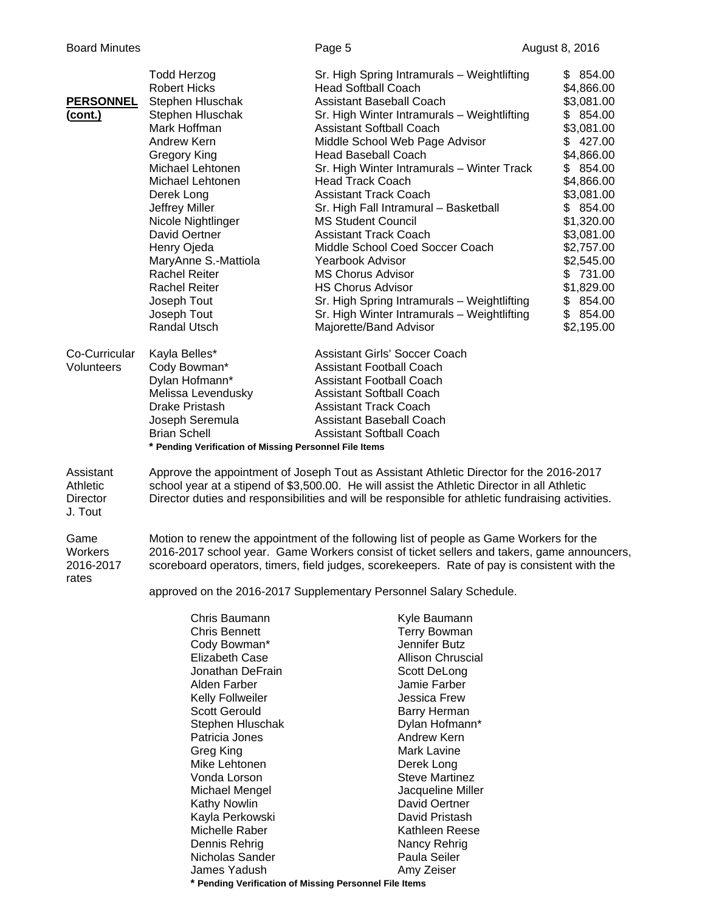| <b>PERSONNEL</b><br>(cont.)                  | <b>Todd Herzog</b><br><b>Robert Hicks</b><br>Stephen Hluschak<br>Stephen Hluschak<br>Mark Hoffman<br>Andrew Kern<br>Gregory King<br>Michael Lehtonen<br>Michael Lehtonen<br>Derek Long<br>Jeffrey Miller<br>Nicole Nightlinger<br>David Oertner<br>Henry Ojeda<br>MaryAnne S.-Mattiola<br><b>Rachel Reiter</b><br><b>Rachel Reiter</b><br>Joseph Tout<br>Joseph Tout<br>Randal Utsch | Sr. High Spring Intramurals - Weightlifting<br><b>Head Softball Coach</b><br><b>Assistant Baseball Coach</b><br>Sr. High Winter Intramurals - Weightlifting<br><b>Assistant Softball Coach</b><br>Middle School Web Page Advisor<br><b>Head Baseball Coach</b><br>Sr. High Winter Intramurals - Winter Track<br><b>Head Track Coach</b><br><b>Assistant Track Coach</b><br>Sr. High Fall Intramural - Basketball<br><b>MS Student Council</b><br><b>Assistant Track Coach</b><br>Middle School Coed Soccer Coach<br><b>Yearbook Advisor</b><br><b>MS Chorus Advisor</b><br><b>HS Chorus Advisor</b><br>Sr. High Spring Intramurals - Weightlifting<br>Sr. High Winter Intramurals - Weightlifting<br>Majorette/Band Advisor | \$854.00<br>\$4,866.00<br>\$3,081.00<br>\$854.00<br>\$3,081.00<br>\$427.00<br>\$4,866.00<br>\$854.00<br>\$4,866.00<br>\$3,081.00<br>\$854.00<br>\$1,320.00<br>\$3,081.00<br>\$2,757.00<br>\$2,545.00<br>\$731.00<br>\$1,829.00<br>\$854.00<br>\$854.00<br>\$2,195.00 |
|----------------------------------------------|--------------------------------------------------------------------------------------------------------------------------------------------------------------------------------------------------------------------------------------------------------------------------------------------------------------------------------------------------------------------------------------|-----------------------------------------------------------------------------------------------------------------------------------------------------------------------------------------------------------------------------------------------------------------------------------------------------------------------------------------------------------------------------------------------------------------------------------------------------------------------------------------------------------------------------------------------------------------------------------------------------------------------------------------------------------------------------------------------------------------------------|----------------------------------------------------------------------------------------------------------------------------------------------------------------------------------------------------------------------------------------------------------------------|
| Co-Curricular<br>Volunteers                  | Kayla Belles*<br>Cody Bowman*<br>Dylan Hofmann*<br>Melissa Levendusky<br><b>Drake Pristash</b><br>Joseph Seremula<br><b>Brian Schell</b><br>* Pending Verification of Missing Personnel File Items                                                                                                                                                                                   | Assistant Girls' Soccer Coach<br><b>Assistant Football Coach</b><br><b>Assistant Football Coach</b><br><b>Assistant Softball Coach</b><br><b>Assistant Track Coach</b><br><b>Assistant Baseball Coach</b><br><b>Assistant Softball Coach</b>                                                                                                                                                                                                                                                                                                                                                                                                                                                                                |                                                                                                                                                                                                                                                                      |
| Assistant<br>Athletic<br>Director<br>J. Tout |                                                                                                                                                                                                                                                                                                                                                                                      | Approve the appointment of Joseph Tout as Assistant Athletic Director for the 2016-2017<br>school year at a stipend of \$3,500.00. He will assist the Athletic Director in all Athletic<br>Director duties and responsibilities and will be responsible for athletic fundraising activities.                                                                                                                                                                                                                                                                                                                                                                                                                                |                                                                                                                                                                                                                                                                      |
| Game<br>Workers<br>2016-2017<br>rates        |                                                                                                                                                                                                                                                                                                                                                                                      | Motion to renew the appointment of the following list of people as Game Workers for the<br>2016-2017 school year. Game Workers consist of ticket sellers and takers, game announcers,<br>scoreboard operators, timers, field judges, scorekeepers. Rate of pay is consistent with the<br>approved on the 2016-2017 Supplementary Personnel Salary Schedule.                                                                                                                                                                                                                                                                                                                                                                 |                                                                                                                                                                                                                                                                      |
|                                              | Chris Baumann<br><b>Chris Bennett</b><br>Cody Bowman*<br><b>Elizabeth Case</b><br>Jonathan DeFrain<br>Alden Farber<br>Kelly Follweiler<br><b>Scott Gerould</b><br>Stephen Hluschak<br>Patricia Jones<br>Greg King<br>Mike Lehtonen<br>Vonda Lorson<br>Michael Mengel<br><b>Kathy Nowlin</b><br>Kayla Perkowski<br>Michelle Raber<br>Dennis Rehrig<br>Nicholas Sander                 | Kyle Baumann<br><b>Terry Bowman</b><br>Jennifer Butz<br><b>Allison Chruscial</b><br>Scott DeLong<br>Jamie Farber<br>Jessica Frew<br>Barry Herman<br>Dylan Hofmann*<br>Andrew Kern<br>Mark Lavine<br>Derek Long<br><b>Steve Martinez</b><br>Jacqueline Miller<br>David Oertner<br>David Pristash<br>Kathleen Reese<br>Nancy Rehrig<br>Paula Seiler                                                                                                                                                                                                                                                                                                                                                                           |                                                                                                                                                                                                                                                                      |

Nicholas Sander Paula Seiler<br>
James Yadush Amy Zeiser James Yadush  **\* Pending Verification of Missing Personnel File Items**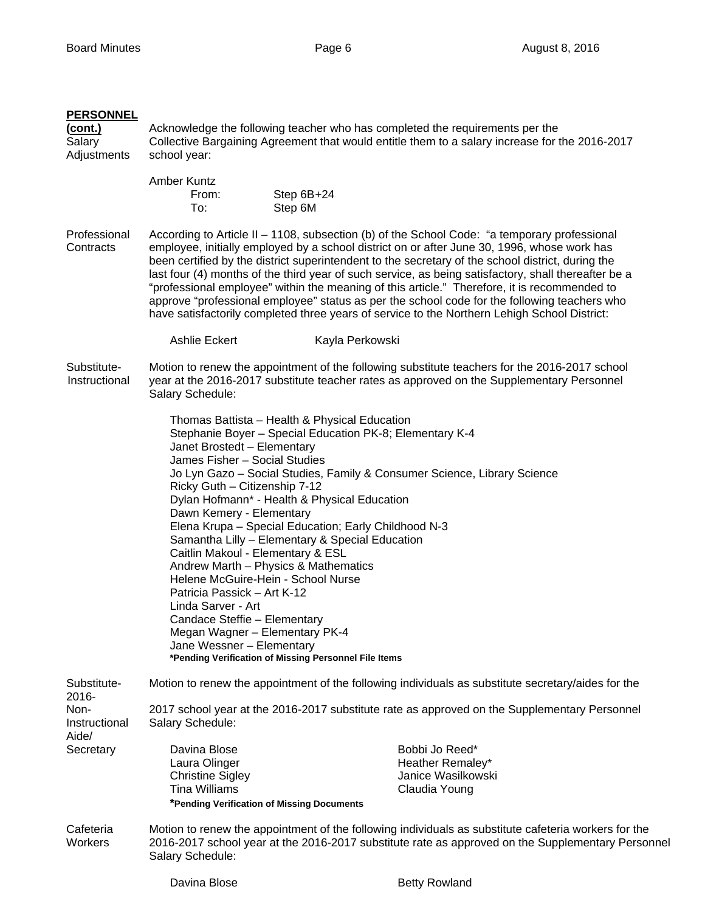## **PERSONNEL**

**(cont.)** Acknowledge the following teacher who has completed the requirements per the Salary Collective Bargaining Agreement that would entitle them to a salary increase for the 2016-2017 Adjustments school year:

| Amber Kuntz |            |
|-------------|------------|
| From:       | Step 6B+24 |
| To:         | Step 6M    |

Professional According to Article II – 1108, subsection (b) of the School Code: "a temporary professional Contracts employee, initially employed by a school district on or after June 30, 1996, whose work has been certified by the district superintendent to the secretary of the school district, during the last four (4) months of the third year of such service, as being satisfactory, shall thereafter be a "professional employee" within the meaning of this article." Therefore, it is recommended to approve "professional employee" status as per the school code for the following teachers who have satisfactorily completed three years of service to the Northern Lehigh School District:

Ashlie Eckert Kayla Perkowski

## Substitute- Motion to renew the appointment of the following substitute teachers for the 2016-2017 school Instructional year at the 2016-2017 substitute teacher rates as approved on the Supplementary Personnel Salary Schedule:

 Thomas Battista – Health & Physical Education Stephanie Boyer – Special Education PK-8; Elementary K-4 Janet Brostedt – Elementary James Fisher – Social Studies Jo Lyn Gazo – Social Studies, Family & Consumer Science, Library Science Ricky Guth – Citizenship 7-12 Dylan Hofmann\* - Health & Physical Education Dawn Kemery - Elementary Elena Krupa – Special Education; Early Childhood N-3 Samantha Lilly – Elementary & Special Education Caitlin Makoul - Elementary & ESL Andrew Marth – Physics & Mathematics Helene McGuire-Hein - School Nurse Patricia Passick – Art K-12 Linda Sarver - Art Candace Steffie – Elementary Megan Wagner – Elementary PK-4 Jane Wessner – Elementary **\*Pending Verification of Missing Personnel File Items** 

Substitute- Motion to renew the appointment of the following individuals as substitute secretary/aides for the 2016- Non- 2017 school year at the 2016-2017 substitute rate as approved on the Supplementary Personnel Instructional Salary Schedule: Aide/ Secretary Davina Blose Bobbi Jo Reed\* Laura Olinger **Heather Remaley\* Heather Remaley\*** Christine Sigley **Christine Sigley Janice Wasilkowski**  Tina Williams Claudia Young **\*Pending Verification of Missing Documents**  Cafeteria Motion to renew the appointment of the following individuals as substitute cafeteria workers for the Workers 2016-2017 school year at the 2016-2017 substitute rate as approved on the Supplementary Personnel Salary Schedule: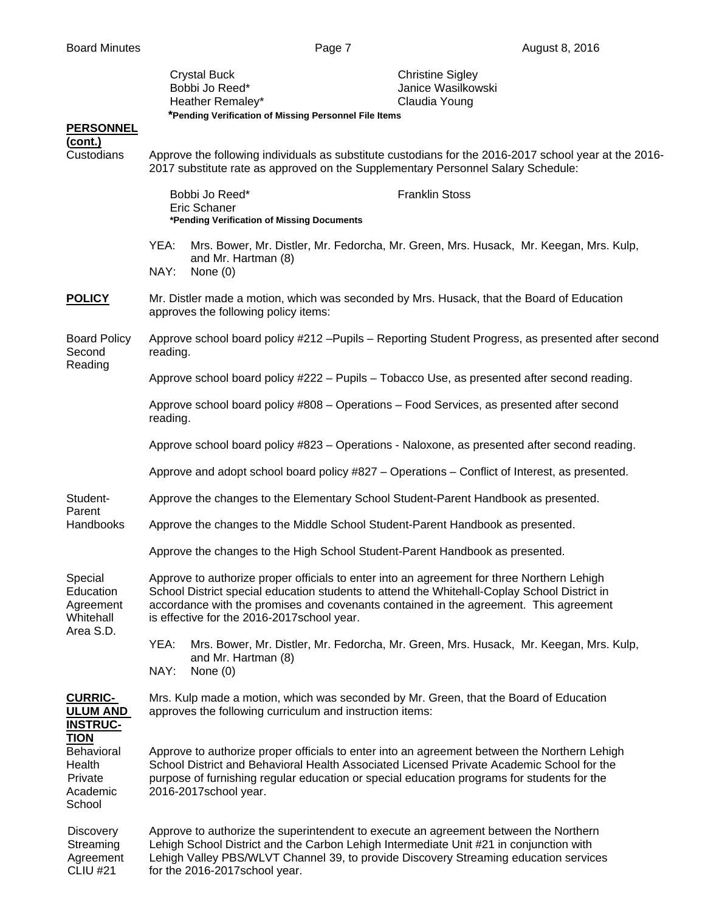| <b>PERSONNEL</b>                                                     | <b>Crystal Buck</b><br>Bobbi Jo Reed*<br>Heather Remaley*<br>*Pending Verification of Missing Personnel File Items                                                                        | <b>Christine Sigley</b><br>Janice Wasilkowski<br>Claudia Young                                                                                                                                                                                                                          |  |  |
|----------------------------------------------------------------------|-------------------------------------------------------------------------------------------------------------------------------------------------------------------------------------------|-----------------------------------------------------------------------------------------------------------------------------------------------------------------------------------------------------------------------------------------------------------------------------------------|--|--|
| (cont.)<br>Custodians                                                | Approve the following individuals as substitute custodians for the 2016-2017 school year at the 2016-<br>2017 substitute rate as approved on the Supplementary Personnel Salary Schedule: |                                                                                                                                                                                                                                                                                         |  |  |
|                                                                      | Bobbi Jo Reed*<br>Eric Schaner<br>*Pending Verification of Missing Documents                                                                                                              | <b>Franklin Stoss</b>                                                                                                                                                                                                                                                                   |  |  |
|                                                                      | YEA:<br>and Mr. Hartman (8)<br>NAY:<br>None $(0)$                                                                                                                                         | Mrs. Bower, Mr. Distler, Mr. Fedorcha, Mr. Green, Mrs. Husack, Mr. Keegan, Mrs. Kulp,                                                                                                                                                                                                   |  |  |
| <b>POLICY</b>                                                        | approves the following policy items:                                                                                                                                                      | Mr. Distler made a motion, which was seconded by Mrs. Husack, that the Board of Education                                                                                                                                                                                               |  |  |
| <b>Board Policy</b><br>Second                                        | reading.                                                                                                                                                                                  | Approve school board policy #212 - Pupils - Reporting Student Progress, as presented after second                                                                                                                                                                                       |  |  |
| Reading                                                              |                                                                                                                                                                                           | Approve school board policy #222 - Pupils - Tobacco Use, as presented after second reading.                                                                                                                                                                                             |  |  |
|                                                                      | reading.                                                                                                                                                                                  | Approve school board policy #808 - Operations - Food Services, as presented after second                                                                                                                                                                                                |  |  |
|                                                                      |                                                                                                                                                                                           | Approve school board policy #823 – Operations - Naloxone, as presented after second reading.                                                                                                                                                                                            |  |  |
|                                                                      |                                                                                                                                                                                           | Approve and adopt school board policy #827 – Operations – Conflict of Interest, as presented.                                                                                                                                                                                           |  |  |
| Student-                                                             |                                                                                                                                                                                           | Approve the changes to the Elementary School Student-Parent Handbook as presented.                                                                                                                                                                                                      |  |  |
| Parent<br>Handbooks                                                  | Approve the changes to the Middle School Student-Parent Handbook as presented.                                                                                                            |                                                                                                                                                                                                                                                                                         |  |  |
|                                                                      | Approve the changes to the High School Student-Parent Handbook as presented.                                                                                                              |                                                                                                                                                                                                                                                                                         |  |  |
| Special<br>Education<br>Agreement<br>Whitehall                       | is effective for the 2016-2017school year.                                                                                                                                                | Approve to authorize proper officials to enter into an agreement for three Northern Lehigh<br>School District special education students to attend the Whitehall-Coplay School District in<br>accordance with the promises and covenants contained in the agreement. This agreement     |  |  |
| Area S.D.                                                            | YEA:<br>and Mr. Hartman (8)<br>NAY:<br>None $(0)$                                                                                                                                         | Mrs. Bower, Mr. Distler, Mr. Fedorcha, Mr. Green, Mrs. Husack, Mr. Keegan, Mrs. Kulp,                                                                                                                                                                                                   |  |  |
| <b>CURRIC-</b><br><b>ULUM AND</b><br><b>INSTRUC-</b>                 | approves the following curriculum and instruction items:                                                                                                                                  | Mrs. Kulp made a motion, which was seconded by Mr. Green, that the Board of Education                                                                                                                                                                                                   |  |  |
| <b>TION</b><br>Behavioral<br>Health<br>Private<br>Academic<br>School | 2016-2017school year.                                                                                                                                                                     | Approve to authorize proper officials to enter into an agreement between the Northern Lehigh<br>School District and Behavioral Health Associated Licensed Private Academic School for the<br>purpose of furnishing regular education or special education programs for students for the |  |  |
| <b>Discovery</b><br>Streaming<br>Agreement<br><b>CLIU #21</b>        | for the 2016-2017 school year.                                                                                                                                                            | Approve to authorize the superintendent to execute an agreement between the Northern<br>Lehigh School District and the Carbon Lehigh Intermediate Unit #21 in conjunction with<br>Lehigh Valley PBS/WLVT Channel 39, to provide Discovery Streaming education services                  |  |  |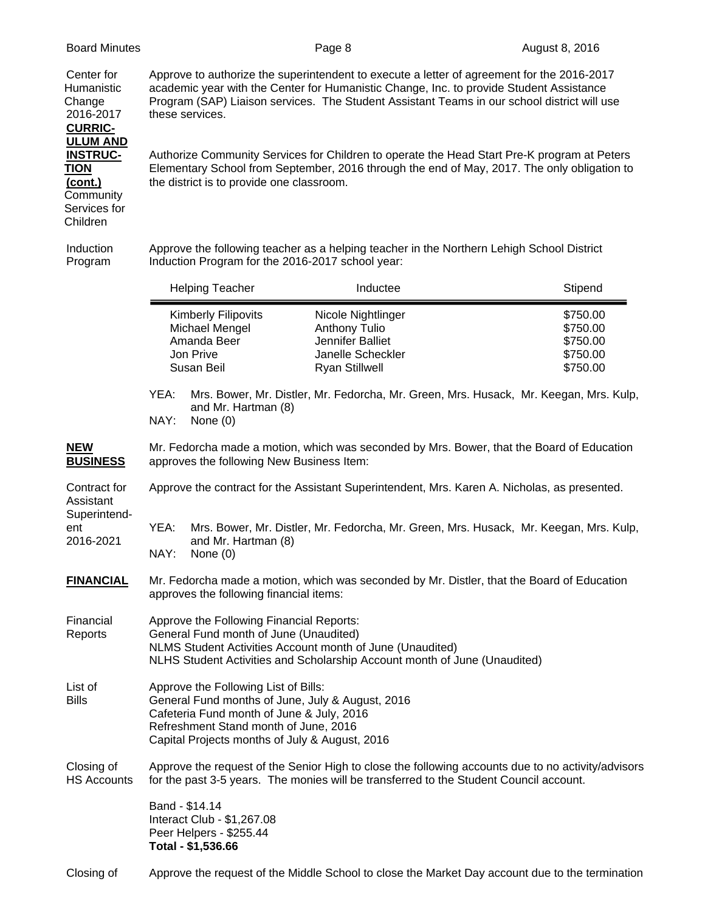**CURRIC-ULUM AND**

**Community**  Services for Children

Center for Approve to authorize the superintendent to execute a letter of agreement for the 2016-2017 Humanistic academic year with the Center for Humanistic Change, Inc. to provide Student Assistance Change Program (SAP) Liaison services. The Student Assistant Teams in our school district will use 2016-2017 these services.

**INSTRUC-** Authorize Community Services for Children to operate the Head Start Pre-K program at Peters **TION** Elementary School from September, 2016 through the end of May, 2017. The only obligation to **(cont.)** the district is to provide one classroom.

Induction Approve the following teacher as a helping teacher in the Northern Lehigh School District Program Induction Program for the 2016-2017 school year:

|      | <b>Helping Teacher</b>                                                                 | Inductee                                                                                              | Stipend                                                  |
|------|----------------------------------------------------------------------------------------|-------------------------------------------------------------------------------------------------------|----------------------------------------------------------|
|      | <b>Kimberly Filipovits</b><br>Michael Mengel<br>Amanda Beer<br>Jon Prive<br>Susan Beil | Nicole Nightlinger<br>Anthony Tulio<br>Jennifer Balliet<br>Janelle Scheckler<br><b>Ryan Stillwell</b> | \$750.00<br>\$750.00<br>\$750.00<br>\$750.00<br>\$750.00 |
| YEA: | and Mr. Hartman (8)                                                                    | Mrs. Bower, Mr. Distler, Mr. Fedorcha, Mr. Green, Mrs. Husack, Mr. Keegan, Mrs. Kulp,                 |                                                          |

NAY: None (0)

**NEW** Mr. Fedorcha made a motion, which was seconded by Mrs. Bower, that the Board of Education **BUSINESS** approves the following New Business Item:

Contract for Approve the contract for the Assistant Superintendent, Mrs. Karen A. Nicholas, as presented.

Assistant Superintend-

ent YEA: Mrs. Bower, Mr. Distler, Mr. Fedorcha, Mr. Green, Mrs. Husack, Mr. Keegan, Mrs. Kulp, 2016-2021 and Mr. Hartman (8)

NAY: None (0)

- **FINANCIAL** Mr. Fedorcha made a motion, which was seconded by Mr. Distler, that the Board of Education approves the following financial items:
- Financial Approve the Following Financial Reports: Reports General Fund month of June (Unaudited) NLMS Student Activities Account month of June (Unaudited) NLHS Student Activities and Scholarship Account month of June (Unaudited)
- List of **Approve the Following List of Bills:** Bills General Fund months of June, July & August, 2016 Cafeteria Fund month of June & July, 2016 Refreshment Stand month of June, 2016 Capital Projects months of July & August, 2016

Closing of Approve the request of the Senior High to close the following accounts due to no activity/advisors HS Accounts for the past 3-5 years. The monies will be transferred to the Student Council account.

> Band - \$14.14 Interact Club - \$1,267.08 Peer Helpers - \$255.44 **Total - \$1,536.66**

Closing of Approve the request of the Middle School to close the Market Day account due to the termination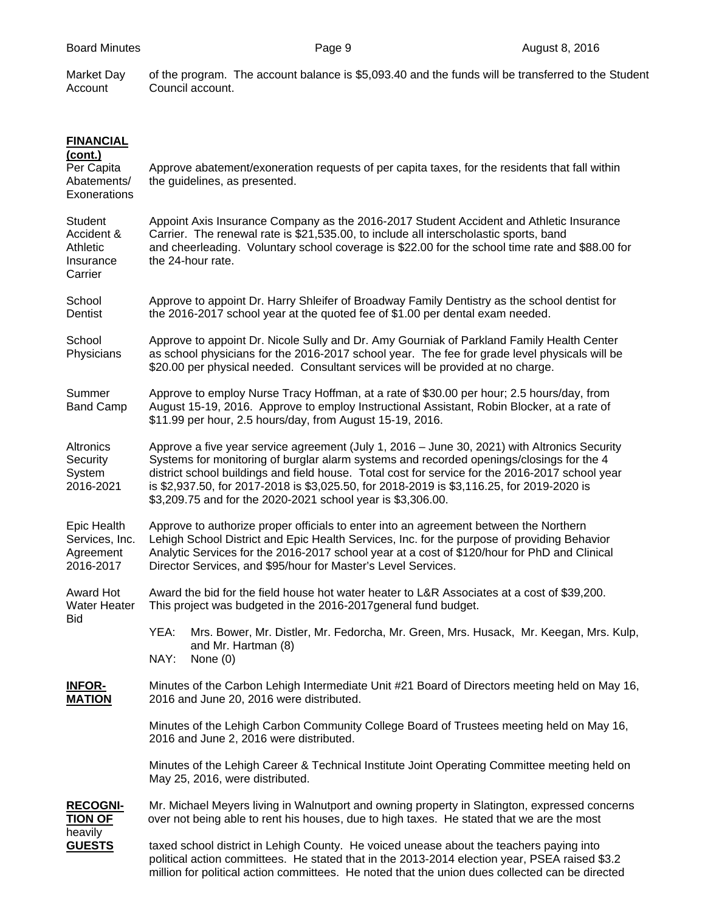Market Day of the program. The account balance is \$5,093.40 and the funds will be transferred to the Student Account Council account.

| <b>FINANCIAL</b>                                                 |                                                                                                                                                                                                                                                                                                                                                                                                                                                         |
|------------------------------------------------------------------|---------------------------------------------------------------------------------------------------------------------------------------------------------------------------------------------------------------------------------------------------------------------------------------------------------------------------------------------------------------------------------------------------------------------------------------------------------|
| <u>(cont.)</u><br>Per Capita<br>Abatements/<br>Exonerations      | Approve abatement/exoneration requests of per capita taxes, for the residents that fall within<br>the guidelines, as presented.                                                                                                                                                                                                                                                                                                                         |
| Student<br>Accident &<br><b>Athletic</b><br>Insurance<br>Carrier | Appoint Axis Insurance Company as the 2016-2017 Student Accident and Athletic Insurance<br>Carrier. The renewal rate is \$21,535.00, to include all interscholastic sports, band<br>and cheerleading. Voluntary school coverage is \$22.00 for the school time rate and \$88.00 for<br>the 24-hour rate.                                                                                                                                                |
| School<br>Dentist                                                | Approve to appoint Dr. Harry Shleifer of Broadway Family Dentistry as the school dentist for<br>the 2016-2017 school year at the quoted fee of \$1.00 per dental exam needed.                                                                                                                                                                                                                                                                           |
| School<br>Physicians                                             | Approve to appoint Dr. Nicole Sully and Dr. Amy Gourniak of Parkland Family Health Center<br>as school physicians for the 2016-2017 school year. The fee for grade level physicals will be<br>\$20.00 per physical needed. Consultant services will be provided at no charge.                                                                                                                                                                           |
| Summer<br><b>Band Camp</b>                                       | Approve to employ Nurse Tracy Hoffman, at a rate of \$30.00 per hour; 2.5 hours/day, from<br>August 15-19, 2016. Approve to employ Instructional Assistant, Robin Blocker, at a rate of<br>\$11.99 per hour, 2.5 hours/day, from August 15-19, 2016.                                                                                                                                                                                                    |
| Altronics<br>Security<br>System<br>2016-2021                     | Approve a five year service agreement (July 1, 2016 - June 30, 2021) with Altronics Security<br>Systems for monitoring of burglar alarm systems and recorded openings/closings for the 4<br>district school buildings and field house. Total cost for service for the 2016-2017 school year<br>is \$2,937.50, for 2017-2018 is \$3,025.50, for 2018-2019 is \$3,116.25, for 2019-2020 is<br>\$3,209.75 and for the 2020-2021 school year is \$3,306.00. |
| Epic Health<br>Services, Inc.<br>Agreement<br>2016-2017          | Approve to authorize proper officials to enter into an agreement between the Northern<br>Lehigh School District and Epic Health Services, Inc. for the purpose of providing Behavior<br>Analytic Services for the 2016-2017 school year at a cost of \$120/hour for PhD and Clinical<br>Director Services, and \$95/hour for Master's Level Services.                                                                                                   |
| <b>Award Hot</b><br><b>Water Heater</b>                          | Award the bid for the field house hot water heater to L&R Associates at a cost of \$39,200.<br>This project was budgeted in the 2016-2017 general fund budget.                                                                                                                                                                                                                                                                                          |
| Bid                                                              | YEA:<br>Mrs. Bower, Mr. Distler, Mr. Fedorcha, Mr. Green, Mrs. Husack, Mr. Keegan, Mrs. Kulp,<br>and Mr. Hartman (8)<br>NAY:<br>None $(0)$                                                                                                                                                                                                                                                                                                              |
| <b>INFOR-</b><br><b>MATION</b>                                   | Minutes of the Carbon Lehigh Intermediate Unit #21 Board of Directors meeting held on May 16,<br>2016 and June 20, 2016 were distributed.                                                                                                                                                                                                                                                                                                               |
|                                                                  | Minutes of the Lehigh Carbon Community College Board of Trustees meeting held on May 16,<br>2016 and June 2, 2016 were distributed.                                                                                                                                                                                                                                                                                                                     |
|                                                                  | Minutes of the Lehigh Career & Technical Institute Joint Operating Committee meeting held on<br>May 25, 2016, were distributed.                                                                                                                                                                                                                                                                                                                         |
| <b>RECOGNI-</b><br>TION OF                                       | Mr. Michael Meyers living in Walnutport and owning property in Slatington, expressed concerns<br>over not being able to rent his houses, due to high taxes. He stated that we are the most                                                                                                                                                                                                                                                              |
| heavily<br><b>GUESTS</b>                                         | taxed school district in Lehigh County. He voiced unease about the teachers paying into<br>political action committees. He stated that in the 2013-2014 election year, PSEA raised \$3.2<br>million for political action committees. He noted that the union dues collected can be directed                                                                                                                                                             |